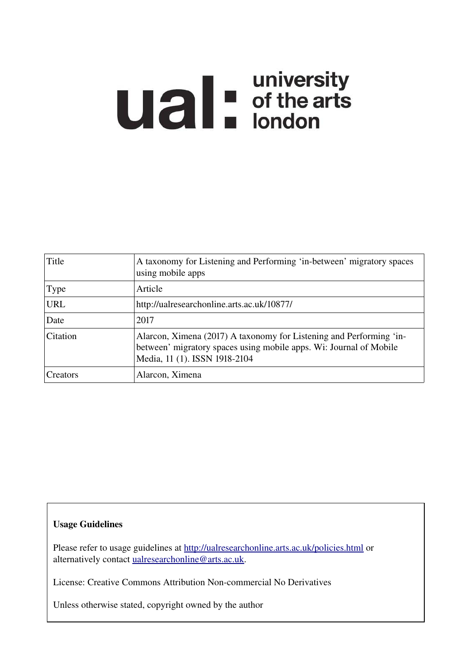# **Ual** For differents

| Title       | A taxonomy for Listening and Performing 'in-between' migratory spaces<br>using mobile apps                                                                                 |
|-------------|----------------------------------------------------------------------------------------------------------------------------------------------------------------------------|
| <b>Type</b> | Article                                                                                                                                                                    |
| <b>URL</b>  | http://ualresearchonline.arts.ac.uk/10877/                                                                                                                                 |
| Date        | 2017                                                                                                                                                                       |
| Citation    | Alarcon, Ximena (2017) A taxonomy for Listening and Performing 'in-<br>between' migratory spaces using mobile apps. Wi: Journal of Mobile<br>Media, 11 (1). ISSN 1918-2104 |
| Creators    | Alarcon, Ximena                                                                                                                                                            |

# Usage Guidelines

Please refer to usage guidelines at<http://ualresearchonline.arts.ac.uk/policies.html>or alternatively contact [ualresearchonline@arts.ac.uk.](mailto:ualresearchonline@arts.ac.uk)

License: Creative Commons Attribution Non-commercial No Derivatives

Unless otherwise stated, copyright owned by the author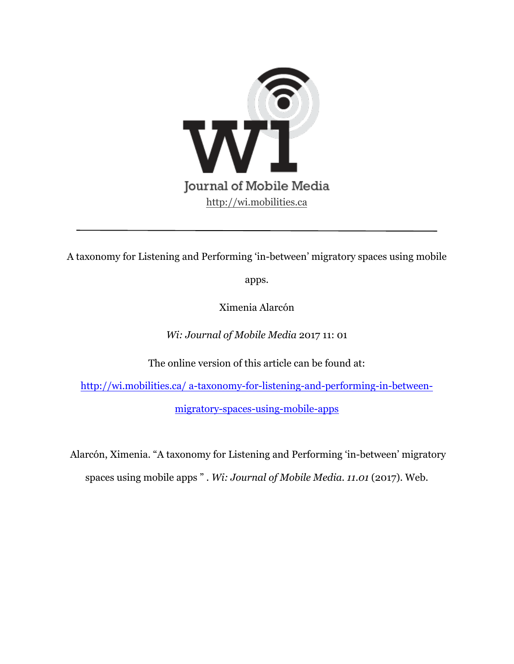

A taxonomy for Listening and Performing 'in-between' migratory spaces using mobile

apps.

Ximenia Alarcón

*Wi: Journal of Mobile Media* 2017 11: 01

The online version of this article can be found at:

http://wi.mobilities.ca/ a-taxonomy-for-listening-and-performing-in-between-

migratory-spaces-using-mobile-apps

 Alarcón, Ximenia. "A taxonomy for Listening and Performing 'in-between' migratory spaces using mobile apps " . *Wi: Journal of Mobile Media. 11.01* (2017). Web.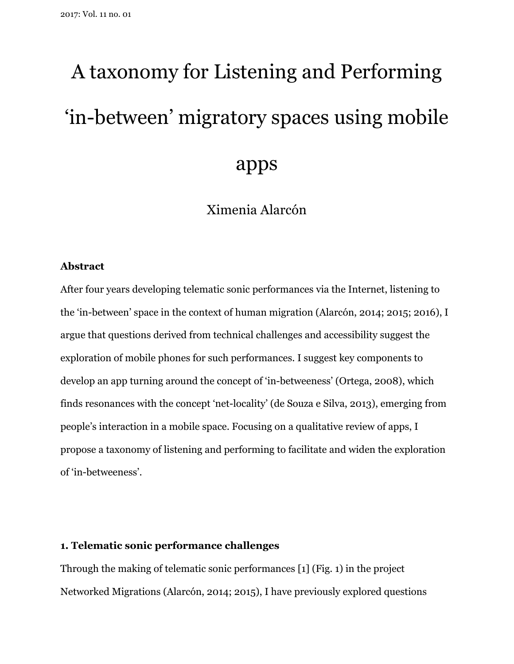# A taxonomy for Listening and Performing 'in-between' migratory spaces using mobile apps

Ximenia Alarcón

### **Abstract**

After four years developing telematic sonic performances via the Internet, listening to the 'in-between' space in the context of human migration (Alarcón, 2014; 2015; 2016), I argue that questions derived from technical challenges and accessibility suggest the exploration of mobile phones for such performances. I suggest key components to develop an app turning around the concept of 'in-betweeness' (Ortega, 2008), which finds resonances with the concept 'net-locality' (de Souza e Silva, 2013), emerging from people's interaction in a mobile space. Focusing on a qualitative review of apps, I propose a taxonomy of listening and performing to facilitate and widen the exploration of 'in-betweeness'.

# **1. Telematic sonic performance challenges**

Through the making of telematic sonic performances [1] (Fig. 1) in the project Networked Migrations (Alarcón, 2014; 2015), I have previously explored questions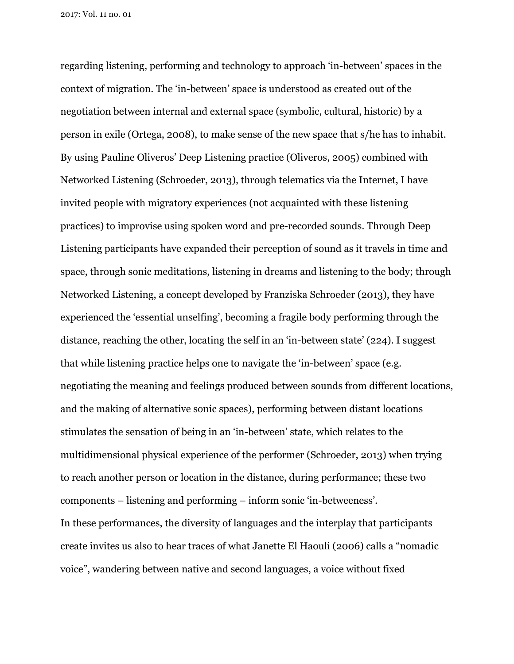regarding listening, performing and technology to approach 'in-between' spaces in the context of migration. The 'in-between' space is understood as created out of the negotiation between internal and external space (symbolic, cultural, historic) by a person in exile (Ortega, 2008), to make sense of the new space that s/he has to inhabit. By using Pauline Oliveros' Deep Listening practice (Oliveros, 2005) combined with Networked Listening (Schroeder, 2013), through telematics via the Internet, I have invited people with migratory experiences (not acquainted with these listening practices) to improvise using spoken word and pre-recorded sounds. Through Deep Listening participants have expanded their perception of sound as it travels in time and space, through sonic meditations, listening in dreams and listening to the body; through Networked Listening, a concept developed by Franziska Schroeder (2013), they have experienced the 'essential unselfing', becoming a fragile body performing through the distance, reaching the other, locating the self in an 'in-between state' (224). I suggest that while listening practice helps one to navigate the 'in-between' space (e.g. negotiating the meaning and feelings produced between sounds from different locations, and the making of alternative sonic spaces), performing between distant locations stimulates the sensation of being in an 'in-between' state, which relates to the multidimensional physical experience of the performer (Schroeder, 2013) when trying to reach another person or location in the distance, during performance; these two components – listening and performing – inform sonic 'in-betweeness'. In these performances, the diversity of languages and the interplay that participants create invites us also to hear traces of what Janette El Haouli (2006) calls a "nomadic voice", wandering between native and second languages, a voice without fixed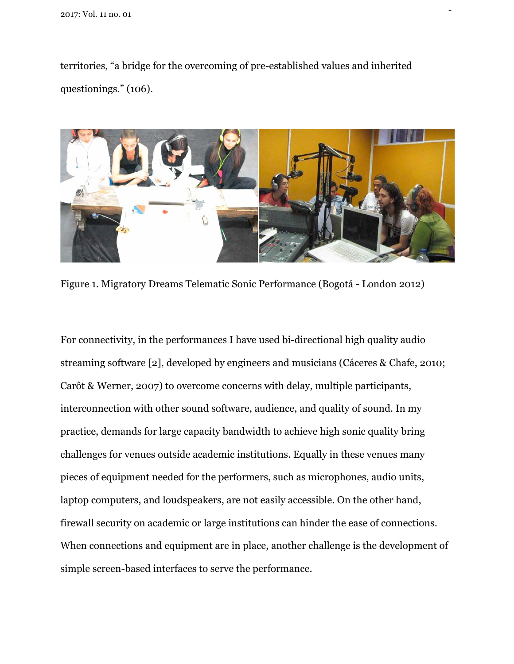territories, "a bridge for the overcoming of pre-established values and inherited questionings." (106).

 $\overline{a}$ 



Figure 1. Migratory Dreams Telematic Sonic Performance (Bogotá - London 2012)

For connectivity, in the performances I have used bi-directional high quality audio streaming software [2], developed by engineers and musicians (Cáceres & Chafe, 2010; Carôt & Werner, 2007) to overcome concerns with delay, multiple participants, interconnection with other sound software, audience, and quality of sound. In my practice, demands for large capacity bandwidth to achieve high sonic quality bring challenges for venues outside academic institutions. Equally in these venues many pieces of equipment needed for the performers, such as microphones, audio units, laptop computers, and loudspeakers, are not easily accessible. On the other hand, firewall security on academic or large institutions can hinder the ease of connections. When connections and equipment are in place, another challenge is the development of simple screen-based interfaces to serve the performance.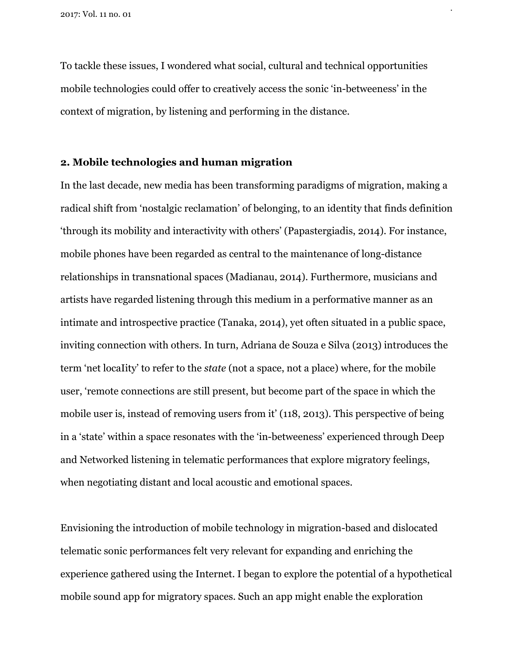To tackle these issues, I wondered what social, cultural and technical opportunities mobile technologies could offer to creatively access the sonic 'in-betweeness' in the context of migration, by listening and performing in the distance.

4

# **2. Mobile technologies and human migration**

In the last decade, new media has been transforming paradigms of migration, making a radical shift from 'nostalgic reclamation' of belonging, to an identity that finds definition 'through its mobility and interactivity with others' (Papastergiadis, 2014). For instance, mobile phones have been regarded as central to the maintenance of long-distance relationships in transnational spaces (Madianau, 2014). Furthermore, musicians and artists have regarded listening through this medium in a performative manner as an intimate and introspective practice (Tanaka, 2014), yet often situated in a public space, inviting connection with others. In turn, Adriana de Souza e Silva (2013) introduces the term 'net locaIity' to refer to the *state* (not a space, not a place) where, for the mobile user, 'remote connections are still present, but become part of the space in which the mobile user is, instead of removing users from it' (118, 2013). This perspective of being in a 'state' within a space resonates with the 'in-betweeness' experienced through Deep and Networked listening in telematic performances that explore migratory feelings, when negotiating distant and local acoustic and emotional spaces.

Envisioning the introduction of mobile technology in migration-based and dislocated telematic sonic performances felt very relevant for expanding and enriching the experience gathered using the Internet. I began to explore the potential of a hypothetical mobile sound app for migratory spaces. Such an app might enable the exploration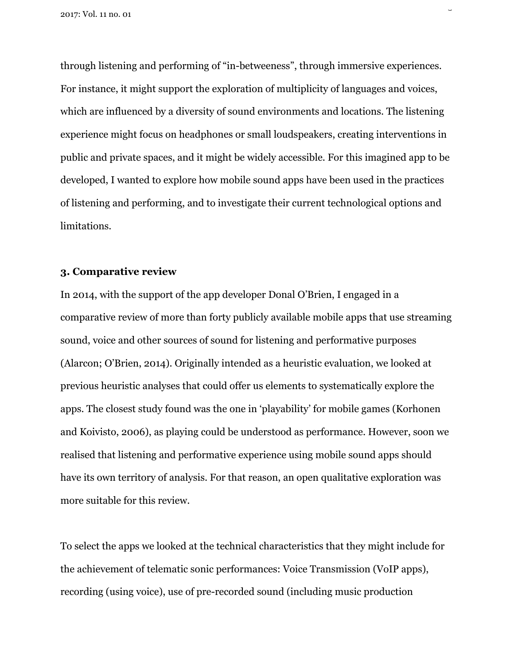through listening and performing of "in-betweeness", through immersive experiences. For instance, it might support the exploration of multiplicity of languages and voices, which are influenced by a diversity of sound environments and locations. The listening experience might focus on headphones or small loudspeakers, creating interventions in public and private spaces, and it might be widely accessible. For this imagined app to be developed, I wanted to explore how mobile sound apps have been used in the practices of listening and performing, and to investigate their current technological options and limitations.

 $\overline{a}$ 

# **3. Comparative review**

In 2014, with the support of the app developer Donal O'Brien, I engaged in a comparative review of more than forty publicly available mobile apps that use streaming sound, voice and other sources of sound for listening and performative purposes (Alarcon; O'Brien, 2014). Originally intended as a heuristic evaluation, we looked at previous heuristic analyses that could offer us elements to systematically explore the apps. The closest study found was the one in 'playability' for mobile games (Korhonen and Koivisto, 2006), as playing could be understood as performance. However, soon we realised that listening and performative experience using mobile sound apps should have its own territory of analysis. For that reason, an open qualitative exploration was more suitable for this review.

To select the apps we looked at the technical characteristics that they might include for the achievement of telematic sonic performances: Voice Transmission (VoIP apps), recording (using voice), use of pre-recorded sound (including music production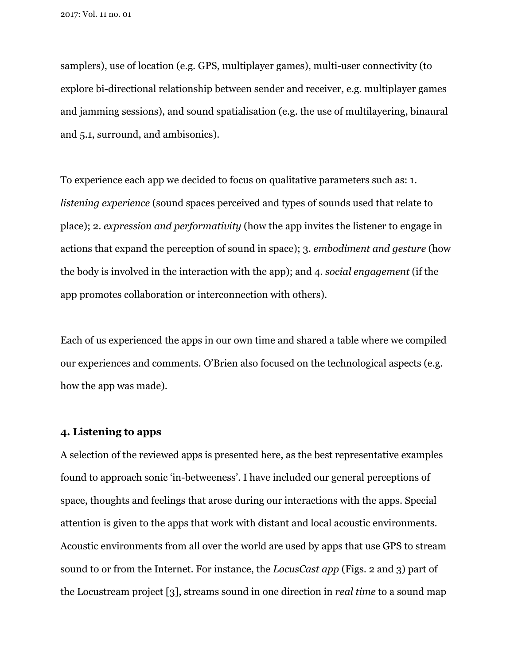samplers), use of location (e.g. GPS, multiplayer games), multi-user connectivity (to explore bi-directional relationship between sender and receiver, e.g. multiplayer games and jamming sessions), and sound spatialisation (e.g. the use of multilayering, binaural and 5.1, surround, and ambisonics).

To experience each app we decided to focus on qualitative parameters such as: 1. *listening experience* (sound spaces perceived and types of sounds used that relate to place); 2. *expression and performativity* (how the app invites the listener to engage in actions that expand the perception of sound in space); 3. *embodiment and gesture* (how the body is involved in the interaction with the app); and 4. *social engagement* (if the app promotes collaboration or interconnection with others).

Each of us experienced the apps in our own time and shared a table where we compiled our experiences and comments. O'Brien also focused on the technological aspects (e.g. how the app was made).

# **4. Listening to apps**

A selection of the reviewed apps is presented here, as the best representative examples found to approach sonic 'in-betweeness'. I have included our general perceptions of space, thoughts and feelings that arose during our interactions with the apps. Special attention is given to the apps that work with distant and local acoustic environments. Acoustic environments from all over the world are used by apps that use GPS to stream sound to or from the Internet. For instance, the *LocusCast app* (Figs. 2 and 3) part of the Locustream project [3], streams sound in one direction in *real time* to a sound map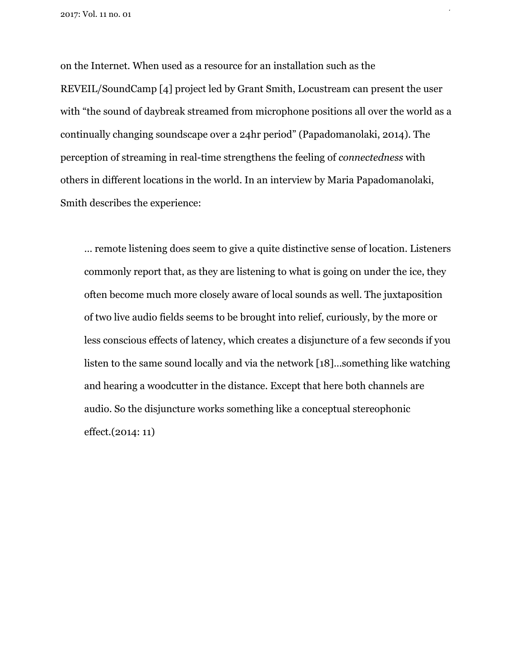on the Internet. When used as a resource for an installation such as the REVEIL/SoundCamp [4] project led by Grant Smith, Locustream can present the user with "the sound of daybreak streamed from microphone positions all over the world as a continually changing soundscape over a 24hr period" (Papadomanolaki, 2014). The perception of streaming in real-time strengthens the feeling of *connectedness* with others in different locations in the world. In an interview by Maria Papadomanolaki, Smith describes the experience:

 $\mathbf{r}$ 

… remote listening does seem to give a quite distinctive sense of location. Listeners commonly report that, as they are listening to what is going on under the ice, they often become much more closely aware of local sounds as well. The juxtaposition of two live audio fields seems to be brought into relief, curiously, by the more or less conscious effects of latency, which creates a disjuncture of a few seconds if you listen to the same sound locally and via the network [18]…something like watching and hearing a woodcutter in the distance. Except that here both channels are audio. So the disjuncture works something like a conceptual stereophonic effect.(2014: 11)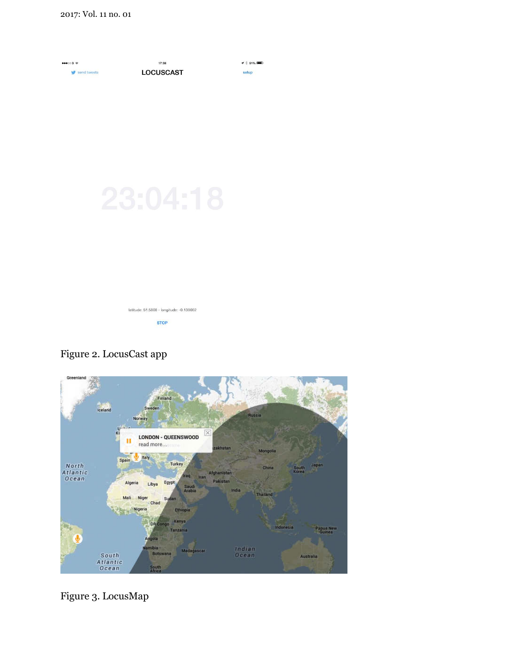

Figure 2. LocusCast app



Figure 3. LocusMap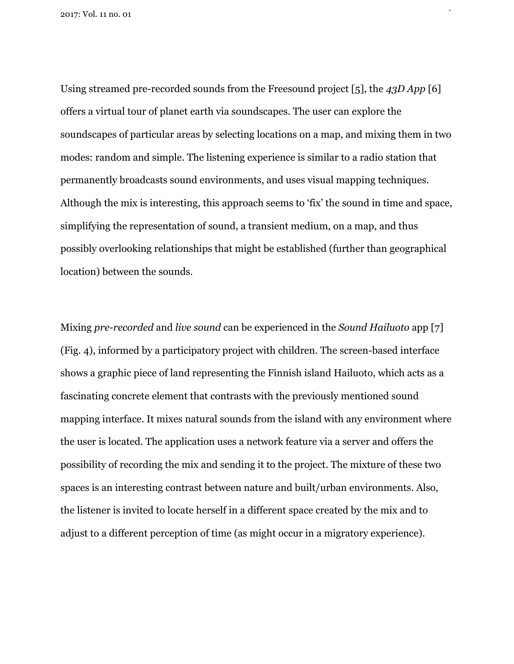Using streamed pre-recorded sounds from the Freesound project [5], the *43D App* [6] offers a virtual tour of planet earth via soundscapes. The user can explore the soundscapes of particular areas by selecting locations on a map, and mixing them in two modes: random and simple. The listening experience is similar to a radio station that permanently broadcasts sound environments, and uses visual mapping techniques. Although the mix is interesting, this approach seems to 'fix' the sound in time and space, simplifying the representation of sound, a transient medium, on a map, and thus possibly overlooking relationships that might be established (further than geographical location) between the sounds.

 $\mathbb{R}^2$ 

Mixing *pre-recorded* and *live sound* can be experienced in the *Sound Hailuoto* app [7] (Fig. 4), informed by a participatory project with children. The screen-based interface shows a graphic piece of land representing the Finnish island Hailuoto, which acts as a fascinating concrete element that contrasts with the previously mentioned sound mapping interface. It mixes natural sounds from the island with any environment where the user is located. The application uses a network feature via a server and offers the possibility of recording the mix and sending it to the project. The mixture of these two spaces is an interesting contrast between nature and built/urban environments. Also, the listener is invited to locate herself in a different space created by the mix and to adjust to a different perception of time (as might occur in a migratory experience).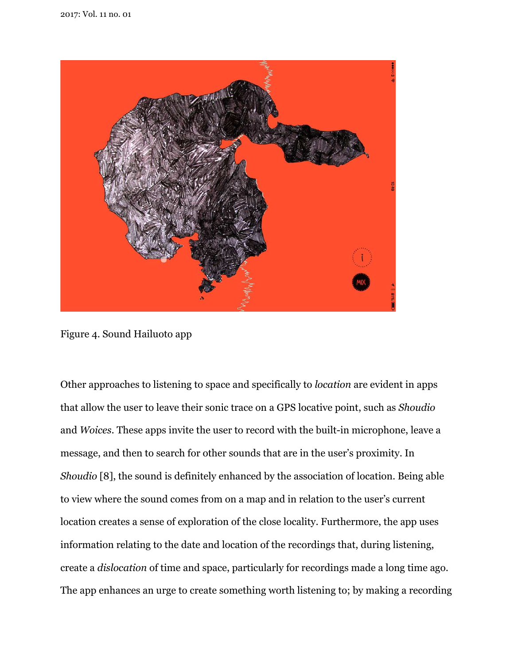

Figure 4. Sound Hailuoto app

Other approaches to listening to space and specifically to *location* are evident in apps that allow the user to leave their sonic trace on a GPS locative point, such as *Shoudio*  and *Woices.* These apps invite the user to record with the built-in microphone, leave a message, and then to search for other sounds that are in the user's proximity. In *Shoudio* [8], the sound is definitely enhanced by the association of location. Being able to view where the sound comes from on a map and in relation to the user's current location creates a sense of exploration of the close locality. Furthermore, the app uses information relating to the date and location of the recordings that, during listening, create a *dislocation* of time and space, particularly for recordings made a long time ago. The app enhances an urge to create something worth listening to; by making a recording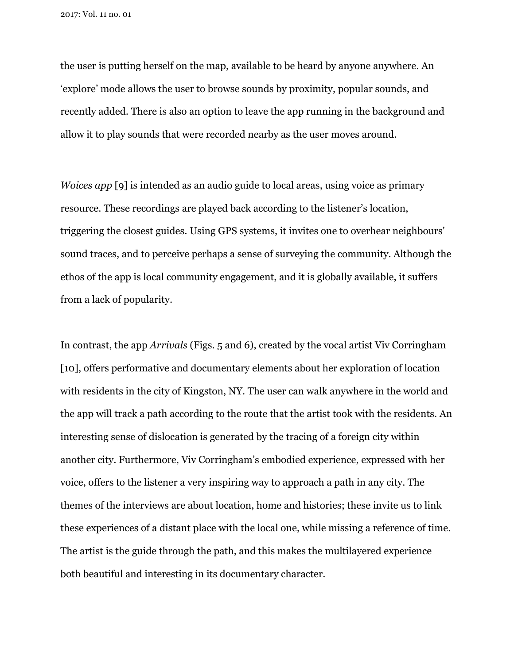the user is putting herself on the map, available to be heard by anyone anywhere. An 'explore' mode allows the user to browse sounds by proximity, popular sounds, and recently added. There is also an option to leave the app running in the background and allow it to play sounds that were recorded nearby as the user moves around.

*Woices app* [9] is intended as an audio guide to local areas, using voice as primary resource. These recordings are played back according to the listener's location, triggering the closest guides. Using GPS systems, it invites one to overhear neighbours' sound traces, and to perceive perhaps a sense of surveying the community. Although the ethos of the app is local community engagement, and it is globally available, it suffers from a lack of popularity.

In contrast, the app *Arrivals* (Figs. 5 and 6), created by the vocal artist Viv Corringham [10], offers performative and documentary elements about her exploration of location with residents in the city of Kingston, NY. The user can walk anywhere in the world and the app will track a path according to the route that the artist took with the residents. An interesting sense of dislocation is generated by the tracing of a foreign city within another city. Furthermore, Viv Corringham's embodied experience, expressed with her voice, offers to the listener a very inspiring way to approach a path in any city. The themes of the interviews are about location, home and histories; these invite us to link these experiences of a distant place with the local one, while missing a reference of time. The artist is the guide through the path, and this makes the multilayered experience both beautiful and interesting in its documentary character.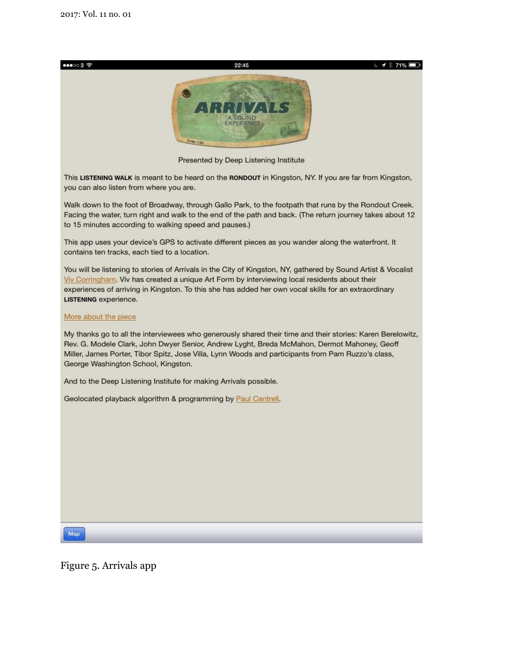$000037$ 



 $1$   $8$  71%

Presented by Deep Listening Institute

This LISTENING WALK is meant to be heard on the RONDOUT in Kingston, NY. If you are far from Kingston, you can also listen from where you are.

Walk down to the foot of Broadway, through Gallo Park, to the footpath that runs by the Rondout Creek. Facing the water, turn right and walk to the end of the path and back. (The return journey takes about 12 to 15 minutes according to walking speed and pauses.)

This app uses your device's GPS to activate different pieces as you wander along the waterfront. It contains ten tracks, each tied to a location.

You will be listening to stories of Arrivals in the City of Kingston, NY, gathered by Sound Artist & Vocalist Viv Corringham. Viv has created a unique Art Form by interviewing local residents about their experiences of arriving in Kingston. To this she has added her own vocal skills for an extraordinary LISTENING experience.

#### More about the piece

My thanks go to all the interviewees who generously shared their time and their stories: Karen Berelowitz, Rev. G. Modele Clark, John Dwyer Senior, Andrew Lyght, Breda McMahon, Dermot Mahoney, Geoff Miller, James Porter, Tibor Spitz, Jose Villa, Lynn Woods and participants from Pam Ruzzo's class, George Washington School, Kingston.

And to the Deep Listening Institute for making Arrivals possible.

Geolocated playback algorithm & programming by Paul Cantrell.

Map

Figure 5. Arrivals app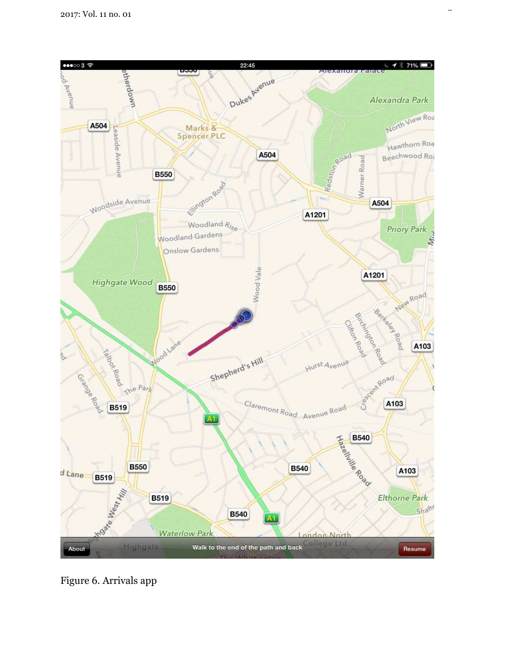

 $\frac{1}{2}$ 

Figure 6. Arrivals app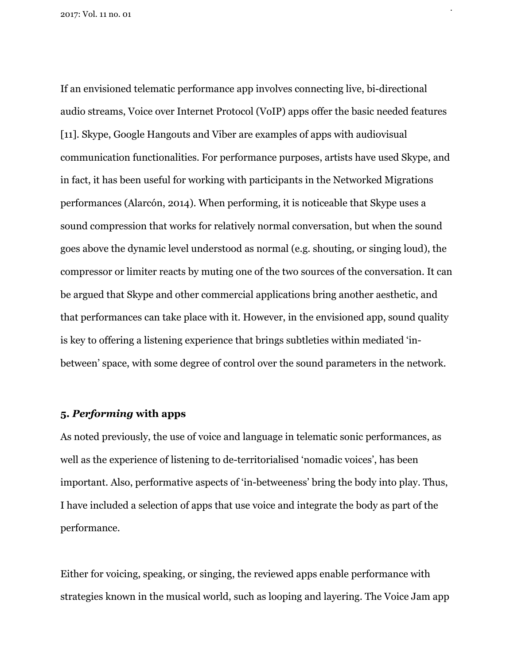If an envisioned telematic performance app involves connecting live, bi-directional audio streams, Voice over Internet Protocol (VoIP) apps offer the basic needed features [11]. Skype, Google Hangouts and Viber are examples of apps with audiovisual communication functionalities. For performance purposes, artists have used Skype, and in fact, it has been useful for working with participants in the Networked Migrations performances (Alarcón, 2014). When performing, it is noticeable that Skype uses a sound compression that works for relatively normal conversation, but when the sound goes above the dynamic level understood as normal (e.g. shouting, or singing loud), the compressor or limiter reacts by muting one of the two sources of the conversation. It can be argued that Skype and other commercial applications bring another aesthetic, and that performances can take place with it. However, in the envisioned app, sound quality is key to offering a listening experience that brings subtleties within mediated 'inbetween' space, with some degree of control over the sound parameters in the network.

14

# **5.** *Performing* **with apps**

As noted previously, the use of voice and language in telematic sonic performances, as well as the experience of listening to de-territorialised 'nomadic voices', has been important. Also, performative aspects of 'in-betweeness' bring the body into play. Thus, I have included a selection of apps that use voice and integrate the body as part of the performance.

Either for voicing, speaking, or singing, the reviewed apps enable performance with strategies known in the musical world, such as looping and layering. The Voice Jam app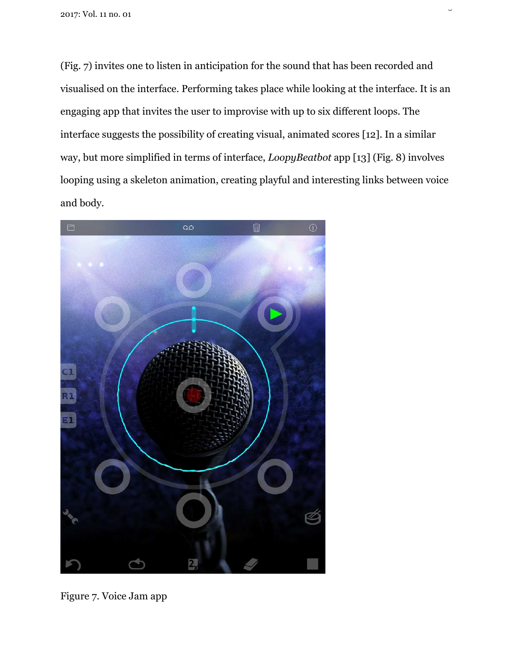(Fig. 7) invites one to listen in anticipation for the sound that has been recorded and visualised on the interface. Performing takes place while looking at the interface. It is an engaging app that invites the user to improvise with up to six different loops. The interface suggests the possibility of creating visual, animated scores [12]. In a similar way, but more simplified in terms of interface, *LoopyBeatbot* app [13] (Fig. 8) involves looping using a skeleton animation, creating playful and interesting links between voice and body.

 $\ddot{\phantom{1}}$ 



Figure 7. Voice Jam app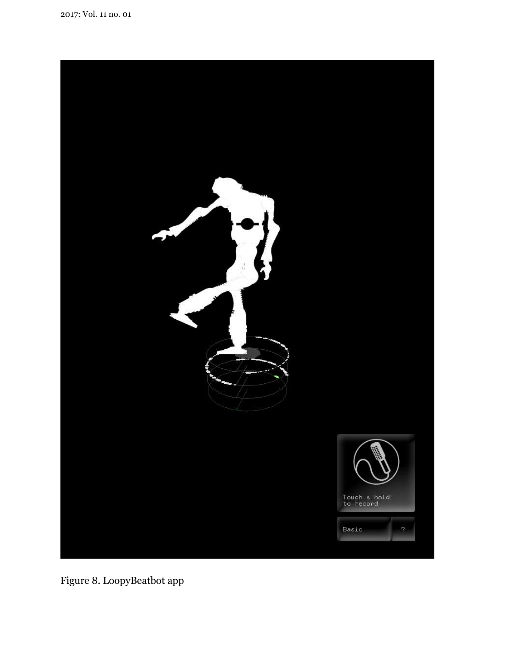

Figure 8. LoopyBeatbot app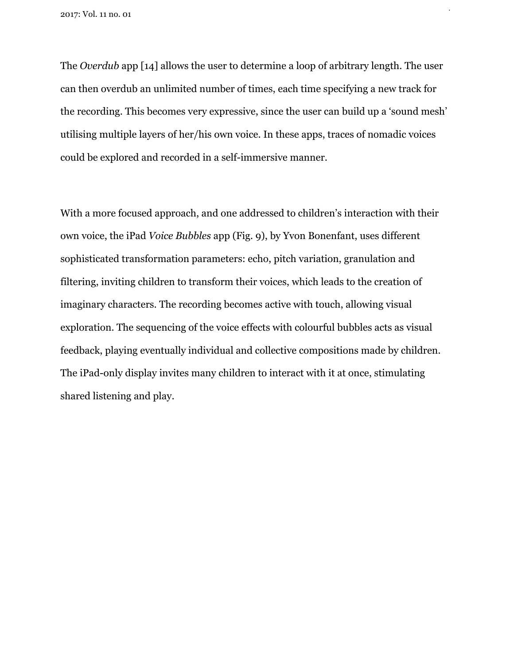The *Overdub* app [14] allows the user to determine a loop of arbitrary length. The user can then overdub an unlimited number of times, each time specifying a new track for the recording. This becomes very expressive, since the user can build up a 'sound mesh' utilising multiple layers of her/his own voice. In these apps, traces of nomadic voices could be explored and recorded in a self-immersive manner.

 $\frac{1}{2}$ 

With a more focused approach, and one addressed to children's interaction with their own voice, the iPad *Voice Bubbles* app (Fig. 9), by Yvon Bonenfant, uses different sophisticated transformation parameters: echo, pitch variation, granulation and filtering, inviting children to transform their voices, which leads to the creation of imaginary characters. The recording becomes active with touch, allowing visual exploration. The sequencing of the voice effects with colourful bubbles acts as visual feedback, playing eventually individual and collective compositions made by children. The iPad-only display invites many children to interact with it at once, stimulating shared listening and play.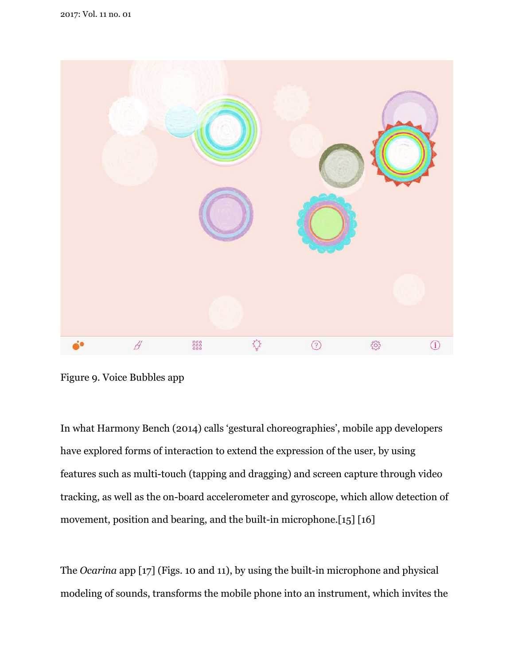

Figure 9. Voice Bubbles app

In what Harmony Bench (2014) calls 'gestural choreographies', mobile app developers have explored forms of interaction to extend the expression of the user, by using features such as multi-touch (tapping and dragging) and screen capture through video tracking, as well as the on-board accelerometer and gyroscope, which allow detection of movement, position and bearing, and the built-in microphone.[15] [16]

The *Ocarina* app [17] (Figs. 10 and 11), by using the built-in microphone and physical modeling of sounds, transforms the mobile phone into an instrument, which invites the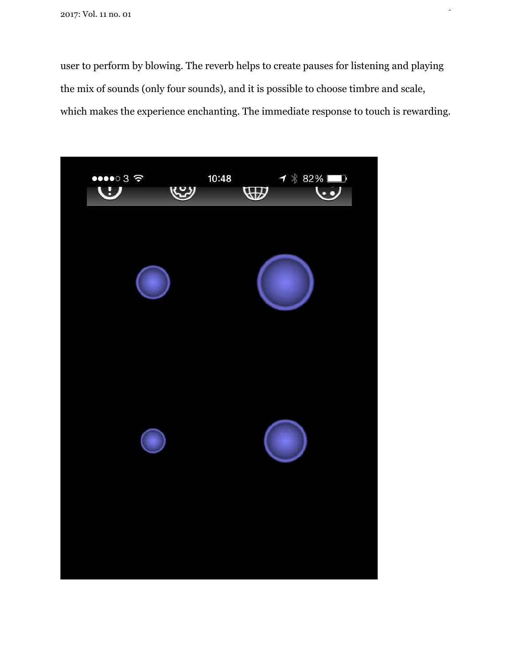user to perform by blowing. The reverb helps to create pauses for listening and playing the mix of sounds (only four sounds), and it is possible to choose timbre and scale, which makes the experience enchanting. The immediate response to touch is rewarding.

 $\frac{1}{2}$ 

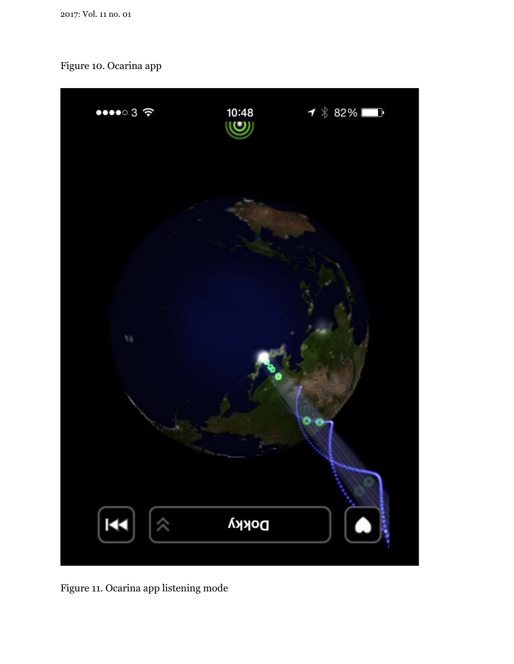# Figure 10. Ocarina app



Figure 11. Ocarina app listening mode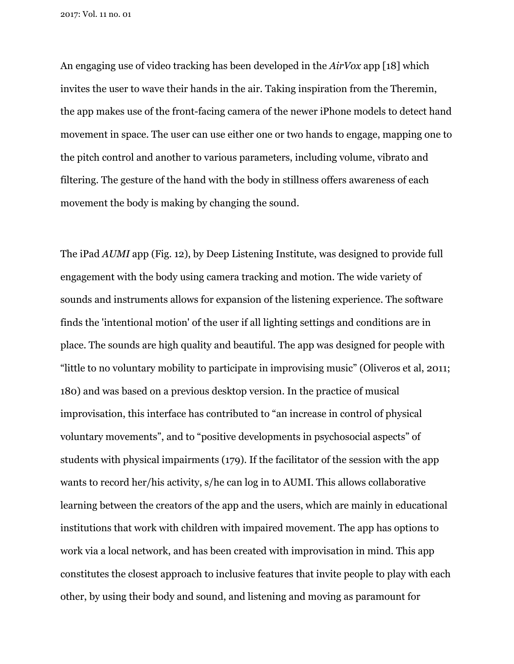An engaging use of video tracking has been developed in the *AirVox* app [18] which invites the user to wave their hands in the air. Taking inspiration from the Theremin, the app makes use of the front-facing camera of the newer iPhone models to detect hand movement in space. The user can use either one or two hands to engage, mapping one to the pitch control and another to various parameters, including volume, vibrato and filtering. The gesture of the hand with the body in stillness offers awareness of each movement the body is making by changing the sound.

The iPad *AUMI* app (Fig. 12), by Deep Listening Institute, was designed to provide full engagement with the body using camera tracking and motion. The wide variety of sounds and instruments allows for expansion of the listening experience. The software finds the 'intentional motion' of the user if all lighting settings and conditions are in place. The sounds are high quality and beautiful. The app was designed for people with "little to no voluntary mobility to participate in improvising music" (Oliveros et al, 2011; 180) and was based on a previous desktop version. In the practice of musical improvisation, this interface has contributed to "an increase in control of physical voluntary movements", and to "positive developments in psychosocial aspects" of students with physical impairments (179). If the facilitator of the session with the app wants to record her/his activity, s/he can log in to AUMI. This allows collaborative learning between the creators of the app and the users, which are mainly in educational institutions that work with children with impaired movement. The app has options to work via a local network, and has been created with improvisation in mind. This app constitutes the closest approach to inclusive features that invite people to play with each other, by using their body and sound, and listening and moving as paramount for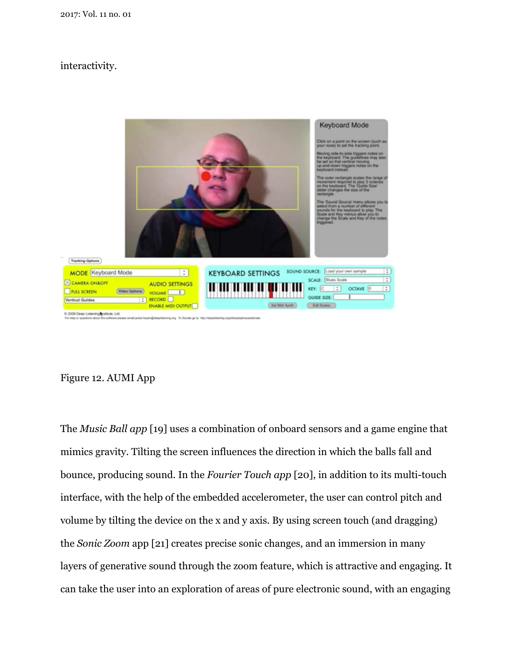# interactivity.



# Figure 12. AUMI App

The *Music Ball app* [19] uses a combination of onboard sensors and a game engine that mimics gravity. Tilting the screen influences the direction in which the balls fall and bounce, producing sound. In the *Fourier Touch app* [20], in addition to its multi-touch interface, with the help of the embedded accelerometer, the user can control pitch and volume by tilting the device on the x and y axis. By using screen touch (and dragging) the *Sonic Zoom* app [21] creates precise sonic changes, and an immersion in many layers of generative sound through the zoom feature, which is attractive and engaging. It can take the user into an exploration of areas of pure electronic sound, with an engaging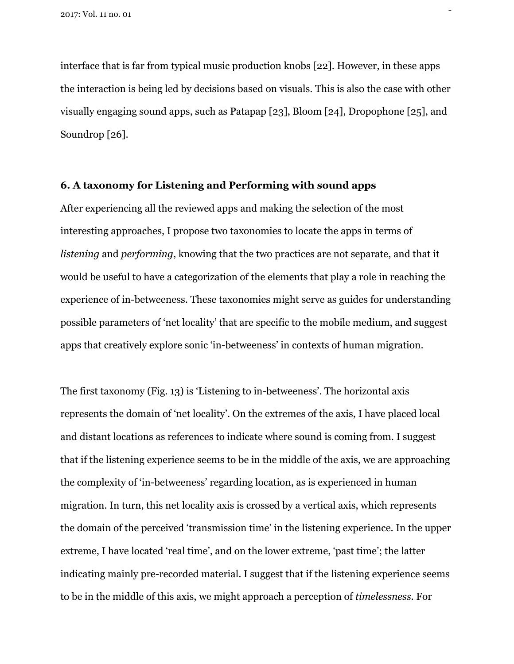interface that is far from typical music production knobs [22]. However, in these apps the interaction is being led by decisions based on visuals. This is also the case with other visually engaging sound apps, such as Patapap [23], Bloom [24], Dropophone [25], and Soundrop [26].

 $\overline{2}$ 

# **6. A taxonomy for Listening and Performing with sound apps**

After experiencing all the reviewed apps and making the selection of the most interesting approaches, I propose two taxonomies to locate the apps in terms of *listening* and *performing*, knowing that the two practices are not separate, and that it would be useful to have a categorization of the elements that play a role in reaching the experience of in-betweeness. These taxonomies might serve as guides for understanding possible parameters of 'net locality' that are specific to the mobile medium, and suggest apps that creatively explore sonic 'in-betweeness' in contexts of human migration.

The first taxonomy (Fig. 13) is 'Listening to in-betweeness'. The horizontal axis represents the domain of 'net locality'. On the extremes of the axis, I have placed local and distant locations as references to indicate where sound is coming from. I suggest that if the listening experience seems to be in the middle of the axis, we are approaching the complexity of 'in-betweeness' regarding location, as is experienced in human migration. In turn, this net locality axis is crossed by a vertical axis, which represents the domain of the perceived 'transmission time' in the listening experience. In the upper extreme, I have located 'real time', and on the lower extreme, 'past time'; the latter indicating mainly pre-recorded material. I suggest that if the listening experience seems to be in the middle of this axis, we might approach a perception of *timelessness.* For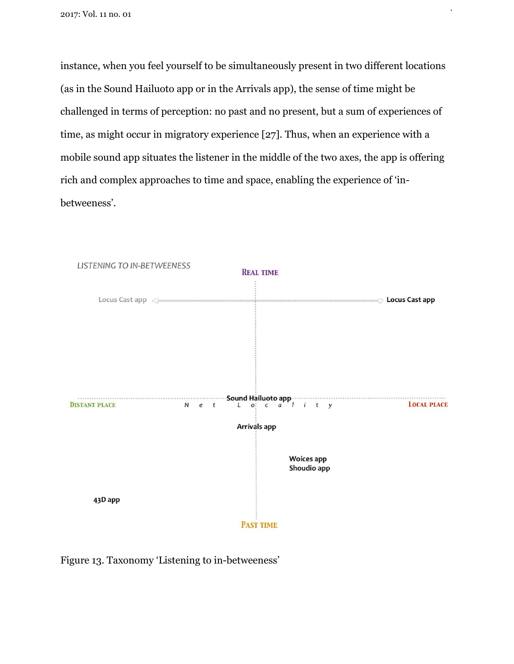instance, when you feel yourself to be simultaneously present in two different locations (as in the Sound Hailuoto app or in the Arrivals app), the sense of time might be challenged in terms of perception: no past and no present, but a sum of experiences of time, as might occur in migratory experience [27]. Thus, when an experience with a mobile sound app situates the listener in the middle of the two axes, the app is offering rich and complex approaches to time and space, enabling the experience of 'inbetweeness'.

24



Figure 13. Taxonomy 'Listening to in-betweeness'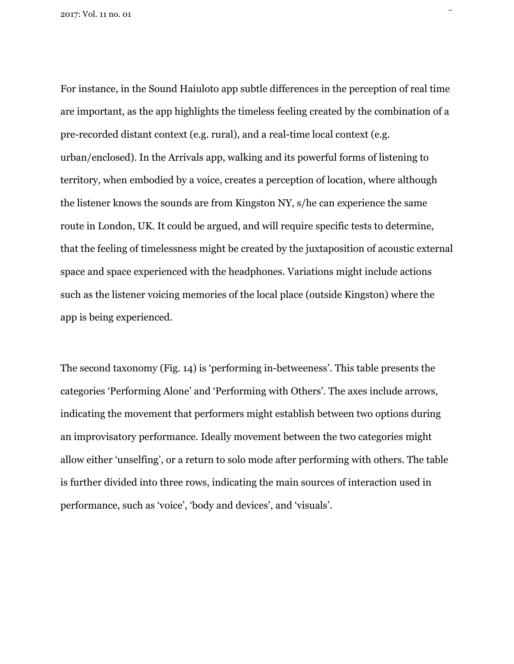For instance, in the Sound Haiuloto app subtle differences in the perception of real time are important, as the app highlights the timeless feeling created by the combination of a pre-recorded distant context (e.g. rural), and a real-time local context (e.g. urban/enclosed). In the Arrivals app, walking and its powerful forms of listening to territory, when embodied by a voice, creates a perception of location, where although the listener knows the sounds are from Kingston NY, s/he can experience the same route in London, UK. It could be argued, and will require specific tests to determine, that the feeling of timelessness might be created by the juxtaposition of acoustic external space and space experienced with the headphones. Variations might include actions such as the listener voicing memories of the local place (outside Kingston) where the app is being experienced.

 $\overline{2}$ 

The second taxonomy (Fig. 14) is 'performing in-betweeness'. This table presents the categories 'Performing Alone' and 'Performing with Others'. The axes include arrows, indicating the movement that performers might establish between two options during an improvisatory performance. Ideally movement between the two categories might allow either 'unselfing', or a return to solo mode after performing with others. The table is further divided into three rows, indicating the main sources of interaction used in performance, such as 'voice', 'body and devices', and 'visuals'.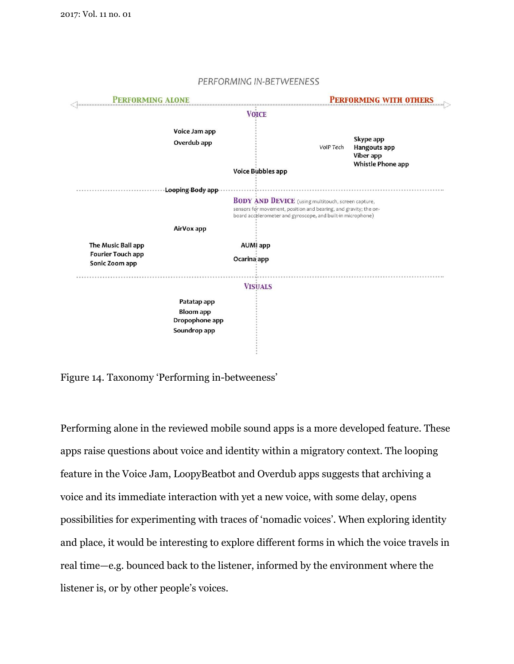

#### PERFORMING IN-BETWEENESS

Figure 14. Taxonomy 'Performing in-betweeness'

Performing alone in the reviewed mobile sound apps is a more developed feature. These apps raise questions about voice and identity within a migratory context. The looping feature in the Voice Jam, LoopyBeatbot and Overdub apps suggests that archiving a voice and its immediate interaction with yet a new voice, with some delay, opens possibilities for experimenting with traces of 'nomadic voices'. When exploring identity and place, it would be interesting to explore different forms in which the voice travels in real time—e.g. bounced back to the listener, informed by the environment where the listener is, or by other people's voices.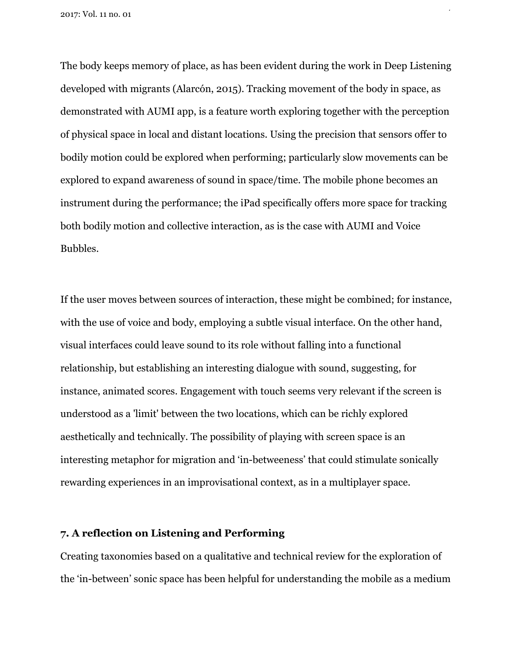The body keeps memory of place, as has been evident during the work in Deep Listening developed with migrants (Alarcón, 2015). Tracking movement of the body in space, as demonstrated with AUMI app, is a feature worth exploring together with the perception of physical space in local and distant locations. Using the precision that sensors offer to bodily motion could be explored when performing; particularly slow movements can be explored to expand awareness of sound in space/time. The mobile phone becomes an instrument during the performance; the iPad specifically offers more space for tracking both bodily motion and collective interaction, as is the case with AUMI and Voice Bubbles.

27

If the user moves between sources of interaction, these might be combined; for instance, with the use of voice and body, employing a subtle visual interface. On the other hand, visual interfaces could leave sound to its role without falling into a functional relationship, but establishing an interesting dialogue with sound, suggesting, for instance, animated scores. Engagement with touch seems very relevant if the screen is understood as a 'limit' between the two locations, which can be richly explored aesthetically and technically. The possibility of playing with screen space is an interesting metaphor for migration and 'in-betweeness' that could stimulate sonically rewarding experiences in an improvisational context, as in a multiplayer space.

# **7. A reflection on Listening and Performing**

Creating taxonomies based on a qualitative and technical review for the exploration of the 'in-between' sonic space has been helpful for understanding the mobile as a medium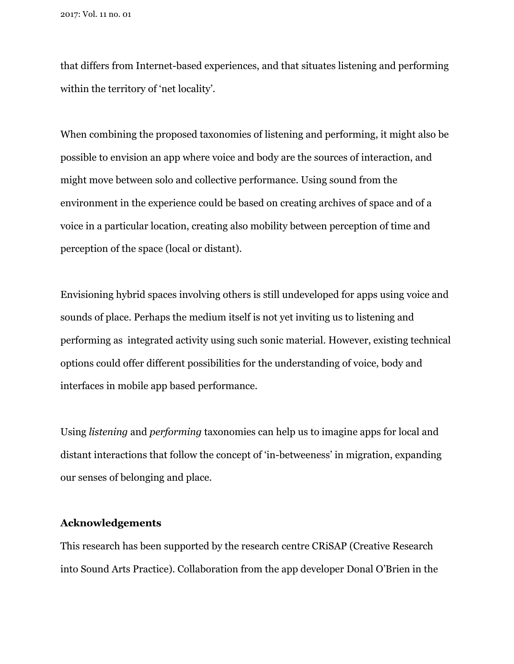that differs from Internet-based experiences, and that situates listening and performing within the territory of 'net locality'.

When combining the proposed taxonomies of listening and performing, it might also be possible to envision an app where voice and body are the sources of interaction, and might move between solo and collective performance. Using sound from the environment in the experience could be based on creating archives of space and of a voice in a particular location, creating also mobility between perception of time and perception of the space (local or distant).

Envisioning hybrid spaces involving others is still undeveloped for apps using voice and sounds of place. Perhaps the medium itself is not yet inviting us to listening and performing as integrated activity using such sonic material. However, existing technical options could offer different possibilities for the understanding of voice, body and interfaces in mobile app based performance.

Using *listening* and *performing* taxonomies can help us to imagine apps for local and distant interactions that follow the concept of 'in-betweeness' in migration, expanding our senses of belonging and place.

# **Acknowledgements**

This research has been supported by the research centre CRiSAP (Creative Research into Sound Arts Practice). Collaboration from the app developer Donal O'Brien in the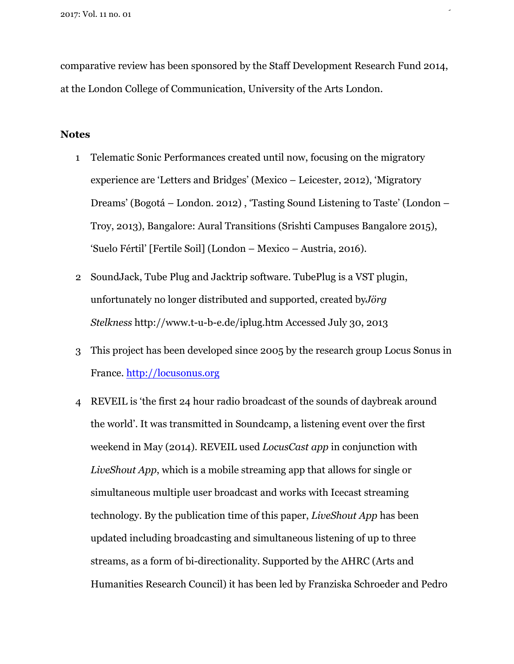comparative review has been sponsored by the Staff Development Research Fund 2014, at the London College of Communication, University of the Arts London.

29

# **Notes**

- 1 Telematic Sonic Performances created until now, focusing on the migratory experience are 'Letters and Bridges' (Mexico – Leicester, 2012), 'Migratory Dreams' (Bogotá – London. 2012) , 'Tasting Sound Listening to Taste' (London – Troy, 2013), Bangalore: Aural Transitions (Srishti Campuses Bangalore 2015), 'Suelo Fértil' [Fertile Soil] (London – Mexico – Austria, 2016).
- 2 SoundJack, Tube Plug and Jacktrip software. TubePlug is a VST plugin, unfortunately no longer distributed and supported, created by*Jörg Stelkness* http://www.t-u-b-e.de/iplug.htm Accessed July 30, 2013
- 3 This project has been developed since 2005 by the research group Locus Sonus in France. http://locusonus.org
- 4 REVEIL is 'the first 24 hour radio broadcast of the sounds of daybreak around the world'. It was transmitted in Soundcamp, a listening event over the first weekend in May (2014). REVEIL used *LocusCast app* in conjunction with *LiveShout App*, which is a mobile streaming app that allows for single or simultaneous multiple user broadcast and works with Icecast streaming technology. By the publication time of this paper, *LiveShout App* has been updated including broadcasting and simultaneous listening of up to three streams, as a form of bi-directionality. Supported by the AHRC (Arts and Humanities Research Council) it has been led by Franziska Schroeder and Pedro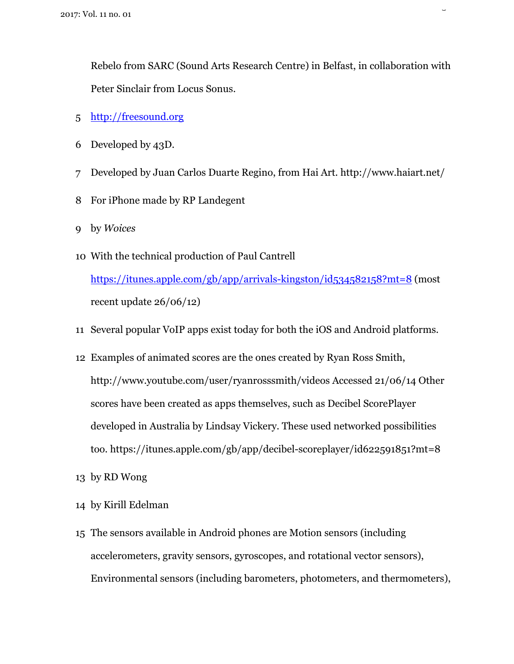Rebelo from SARC (Sound Arts Research Centre) in Belfast, in collaboration with Peter Sinclair from Locus Sonus.

 $\overline{a}$ 

- 5 http://freesound.org
- 6 Developed by 43D.
- 7 Developed by Juan Carlos Duarte Regino, from Hai Art. http://www.haiart.net/
- 8 For iPhone made by RP Landegent
- 9 by *Woices*
- 10 With the technical production of Paul Cantrell https://itunes.apple.com/gb/app/arrivals-kingston/id534582158?mt=8 (most recent update 26/06/12)
- 11 Several popular VoIP apps exist today for both the iOS and Android platforms.
- 12 Examples of animated scores are the ones created by Ryan Ross Smith, http://www.youtube.com/user/ryanrosssmith/videos Accessed 21/06/14 Other scores have been created as apps themselves, such as Decibel ScorePlayer developed in Australia by Lindsay Vickery. These used networked possibilities too. https://itunes.apple.com/gb/app/decibel-scoreplayer/id622591851?mt=8
- 13 by RD Wong
- 14 by Kirill Edelman
- 15 The sensors available in Android phones are Motion sensors (including accelerometers, gravity sensors, gyroscopes, and rotational vector sensors), Environmental sensors (including barometers, photometers, and thermometers),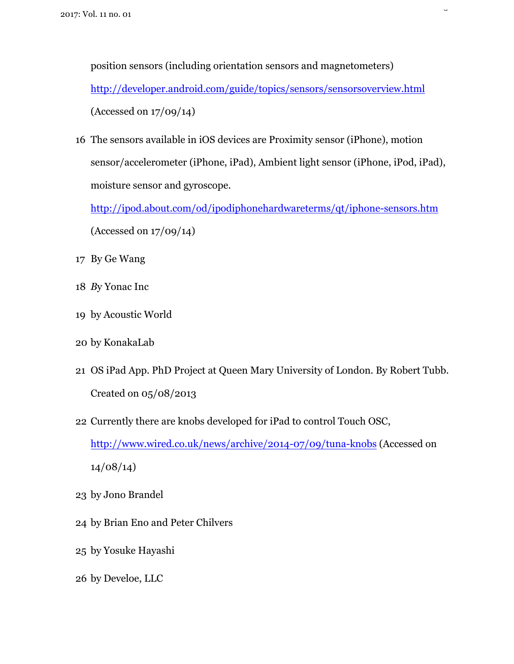position sensors (including orientation sensors and magnetometers) http://developer.android.com/guide/topics/sensors/sensorsoverview.html (Accessed on 17/09/14)

 $\overline{a}$ 

16 The sensors available in iOS devices are Proximity sensor (iPhone), motion sensor/accelerometer (iPhone, iPad), Ambient light sensor (iPhone, iPod, iPad), moisture sensor and gyroscope.

http://ipod.about.com/od/ipodiphonehardwareterms/qt/iphone-sensors.htm (Accessed on 17/09/14)

- 17 By Ge Wang
- 18 *B*y Yonac Inc
- 19 by Acoustic World
- 20 by KonakaLab
- 21 OS iPad App. PhD Project at Queen Mary University of London. By Robert Tubb. Created on 05/08/2013
- 22 Currently there are knobs developed for iPad to control Touch OSC, http://www.wired.co.uk/news/archive/2014-07/09/tuna-knobs (Accessed on 14/08/14)
- 23 by Jono Brandel
- 24 by Brian Eno and Peter Chilvers
- 25 by Yosuke Hayashi
- 26 by Develoe, LLC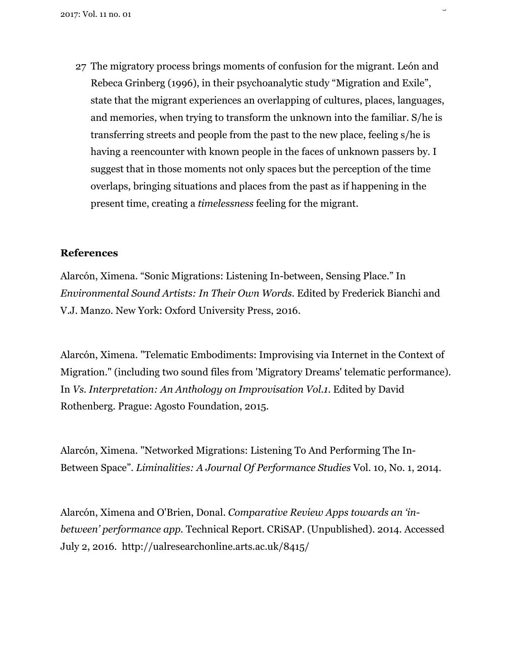27 The migratory process brings moments of confusion for the migrant. León and Rebeca Grinberg (1996), in their psychoanalytic study "Migration and Exile", state that the migrant experiences an overlapping of cultures, places, languages, and memories, when trying to transform the unknown into the familiar. S/he is transferring streets and people from the past to the new place, feeling s/he is having a reencounter with known people in the faces of unknown passers by. I suggest that in those moments not only spaces but the perception of the time overlaps, bringing situations and places from the past as if happening in the present time, creating a *timelessness* feeling for the migrant.

 $\overline{a}$ 

# **References**

Alarcón, Ximena. "Sonic Migrations: Listening In-between, Sensing Place." In *Environmental Sound Artists: In Their Own Words*. Edited by Frederick Bianchi and V.J. Manzo. New York: Oxford University Press, 2016.

Alarcón, Ximena. "Telematic Embodiments: Improvising via Internet in the Context of Migration." (including two sound files from 'Migratory Dreams' telematic performance). In *Vs. Interpretation: An Anthology on Improvisation Vol.1*. Edited by David Rothenberg. Prague: Agosto Foundation, 2015.

Alarcón, Ximena. "Networked Migrations: Listening To And Performing The In-Between Space". *Liminalities: A Journal Of Performance Studies* Vol. 10, No. 1, 2014.

Alarcón, Ximena and O'Brien, Donal. *Comparative Review Apps towards an 'inbetween' performance app.* Technical Report. CRiSAP. (Unpublished). 2014. Accessed July 2, 2016. http://ualresearchonline.arts.ac.uk/8415/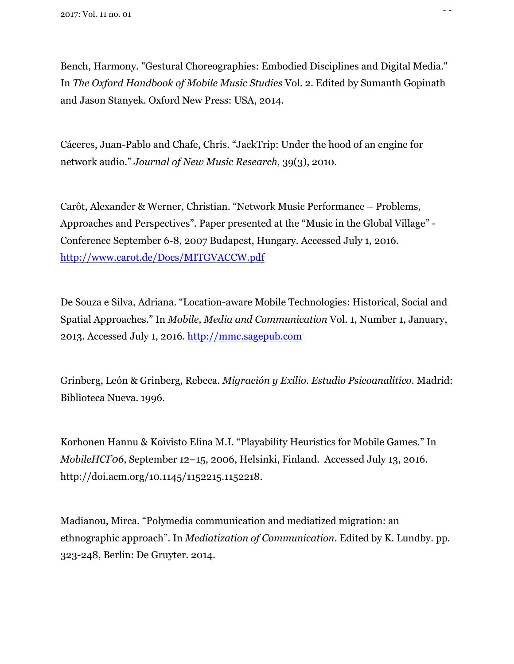Bench, Harmony. "Gestural Choreographies: Embodied Disciplines and Digital Media." In *The Oxford Handbook of Mobile Music Studies* Vol. 2. Edited by Sumanth Gopinath and Jason Stanyek. Oxford New Press: USA, 2014.

--

Cáceres, Juan-Pablo and Chafe, Chris. "JackTrip: Under the hood of an engine for network audio." *Journal of New Music Research*, 39(3), 2010.

Carôt, Alexander & Werner, Christian. "Network Music Performance – Problems, Approaches and Perspectives". Paper presented at the "Music in the Global Village" - Conference September 6-8, 2007 Budapest, Hungary. Accessed July 1, 2016. http://www.carot.de/Docs/MITGVACCW.pdf

De Souza e Silva, Adriana. "Location-aware Mobile Technologies: Historical, Social and Spatial Approaches." In *Mobile, Media and Communication* Vol. 1, Number 1, January, 2013. Accessed July 1, 2016. http://mmc.sagepub.com

Grinberg, León & Grinberg, Rebeca. *Migración y Exilio. Estudio Psicoanalítico*. Madrid: Biblioteca Nueva. 1996.

Korhonen Hannu & Koivisto Elina M.I. "Playability Heuristics for Mobile Games." In *MobileHCI'06*, September 12–15, 2006, Helsinki, Finland. Accessed July 13, 2016. http://doi.acm.org/10.1145/1152215.1152218.

Madianou, Mirca. "Polymedia communication and mediatized migration: an ethnographic approach". In *Mediatization of Communication*. Edited by K. Lundby. pp. 323-248, Berlin: De Gruyter. 2014.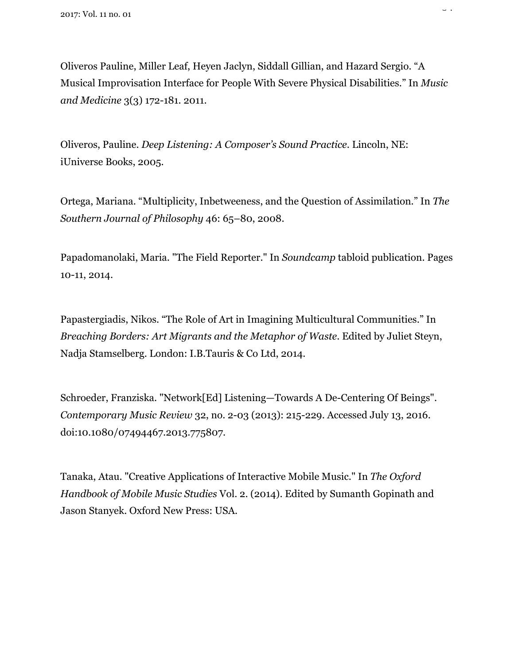Oliveros Pauline, Miller Leaf, Heyen Jaclyn, Siddall Gillian, and Hazard Sergio. "A Musical Improvisation Interface for People With Severe Physical Disabilities." In *Music and Medicine* 3(3) 172-181. 2011.

 $\overline{a}$ 

Oliveros, Pauline. *Deep Listening: A Composer's Sound Practice*. Lincoln, NE: iUniverse Books, 2005.

Ortega, Mariana. "Multiplicity, Inbetweeness, and the Question of Assimilation." In *The Southern Journal of Philosophy* 46: 65–80, 2008.

Papadomanolaki, Maria. "The Field Reporter." In *Soundcamp* tabloid publication. Pages 10-11, 2014.

Papastergiadis, Nikos. "The Role of Art in Imagining Multicultural Communities." In *Breaching Borders: Art Migrants and the Metaphor of Waste*. Edited by Juliet Steyn, Nadja Stamselberg. London: I.B.Tauris & Co Ltd, 2014.

Schroeder, Franziska. "Network[Ed] Listening—Towards A De-Centering Of Beings". *Contemporary Music Review* 32, no. 2-03 (2013): 215-229. Accessed July 13, 2016. doi:10.1080/07494467.2013.775807.

Tanaka, Atau. "Creative Applications of Interactive Mobile Music." In *The Oxford Handbook of Mobile Music Studies* Vol. 2. (2014). Edited by Sumanth Gopinath and Jason Stanyek. Oxford New Press: USA.